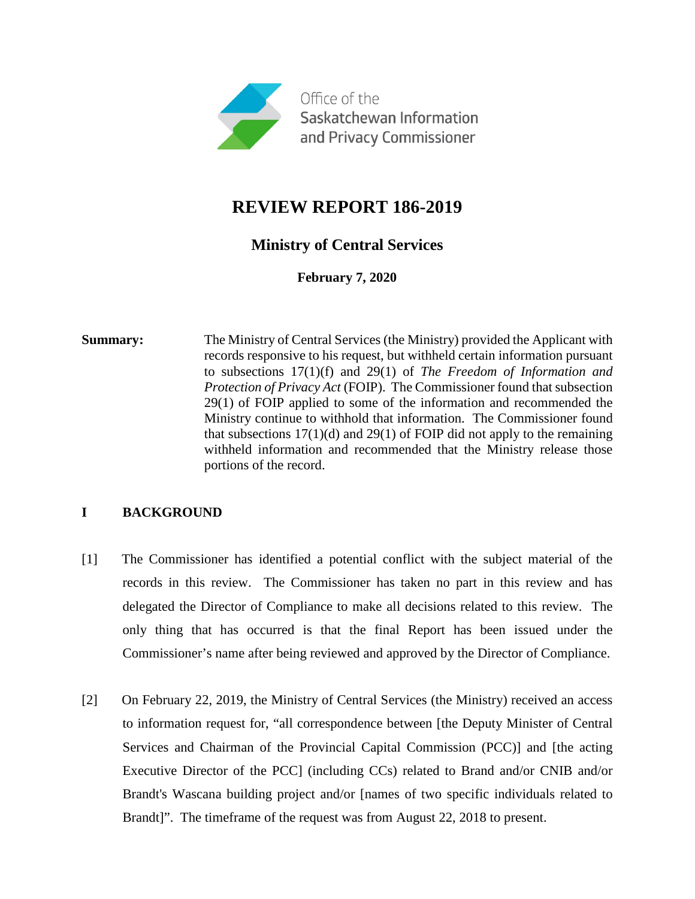

# **REVIEW REPORT 186-2019**

## **Ministry of Central Services**

**February 7, 2020**

**Summary:** The Ministry of Central Services (the Ministry) provided the Applicant with records responsive to his request, but withheld certain information pursuant to subsections 17(1)(f) and 29(1) of *The Freedom of Information and Protection of Privacy Act* (FOIP). The Commissioner found that subsection 29(1) of FOIP applied to some of the information and recommended the Ministry continue to withhold that information. The Commissioner found that subsections  $17(1)(d)$  and  $29(1)$  of FOIP did not apply to the remaining withheld information and recommended that the Ministry release those portions of the record.

## **I BACKGROUND**

- [1] The Commissioner has identified a potential conflict with the subject material of the records in this review. The Commissioner has taken no part in this review and has delegated the Director of Compliance to make all decisions related to this review. The only thing that has occurred is that the final Report has been issued under the Commissioner's name after being reviewed and approved by the Director of Compliance.
- [2] On February 22, 2019, the Ministry of Central Services (the Ministry) received an access to information request for, "all correspondence between [the Deputy Minister of Central Services and Chairman of the Provincial Capital Commission (PCC)] and [the acting Executive Director of the PCC] (including CCs) related to Brand and/or CNIB and/or Brandt's Wascana building project and/or [names of two specific individuals related to Brandt]". The timeframe of the request was from August 22, 2018 to present.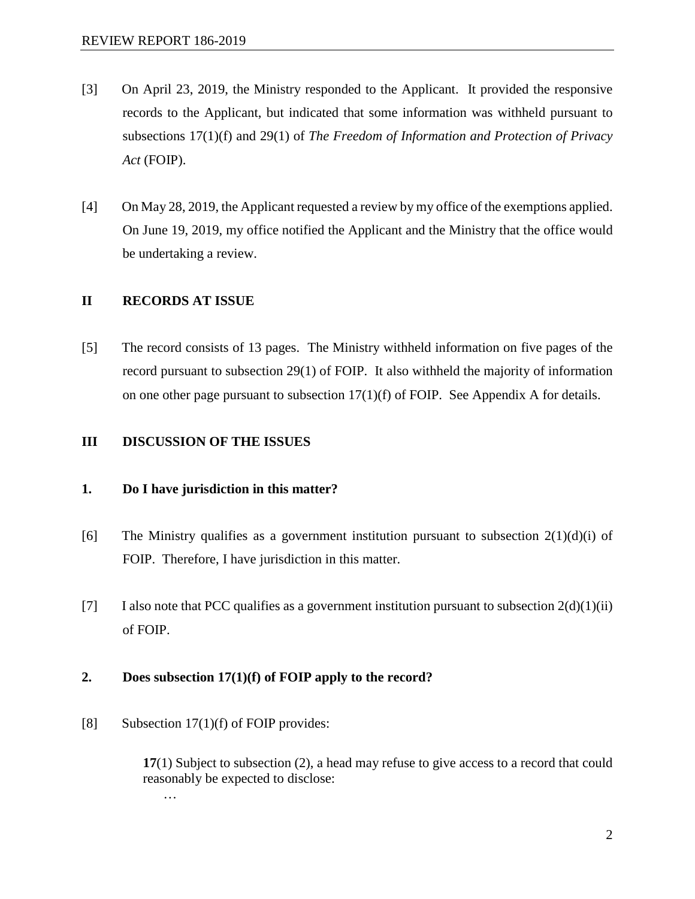- [3] On April 23, 2019, the Ministry responded to the Applicant. It provided the responsive records to the Applicant, but indicated that some information was withheld pursuant to subsections 17(1)(f) and 29(1) of *The Freedom of Information and Protection of Privacy Act* (FOIP).
- [4] On May 28, 2019, the Applicant requested a review by my office of the exemptions applied. On June 19, 2019, my office notified the Applicant and the Ministry that the office would be undertaking a review.

#### **II RECORDS AT ISSUE**

[5] The record consists of 13 pages. The Ministry withheld information on five pages of the record pursuant to subsection 29(1) of FOIP. It also withheld the majority of information on one other page pursuant to subsection 17(1)(f) of FOIP. See Appendix A for details.

### **III DISCUSSION OF THE ISSUES**

#### **1. Do I have jurisdiction in this matter?**

- [6] The Ministry qualifies as a government institution pursuant to subsection  $2(1)(d)(i)$  of FOIP. Therefore, I have jurisdiction in this matter.
- [7] I also note that PCC qualifies as a government institution pursuant to subsection  $2(d)(1)(ii)$ of FOIP.

### **2. Does subsection 17(1)(f) of FOIP apply to the record?**

[8] Subsection 17(1)(f) of FOIP provides:

**17**(1) Subject to subsection (2), a head may refuse to give access to a record that could reasonably be expected to disclose:

…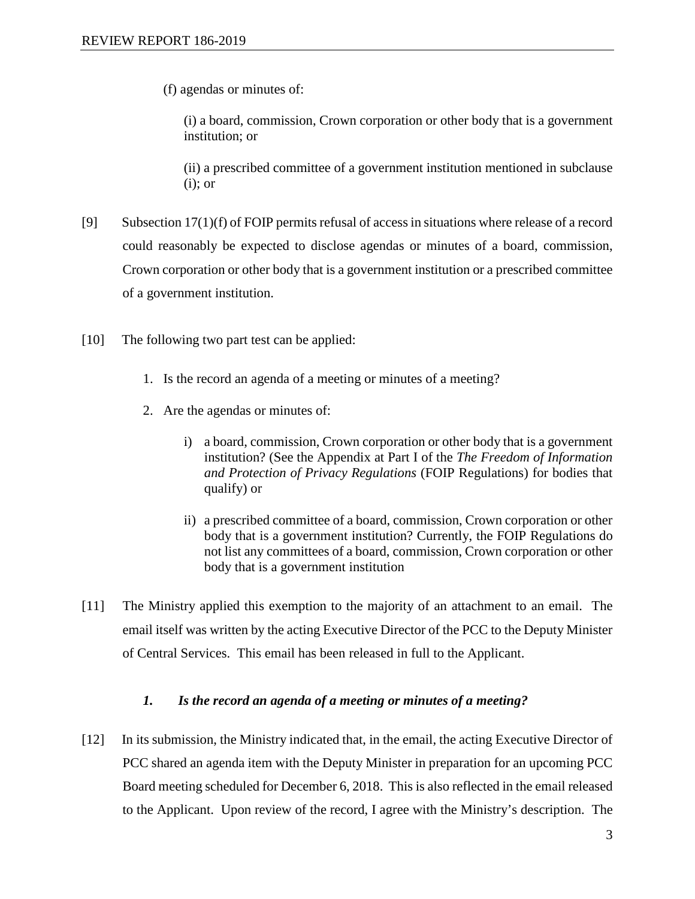(f) agendas or minutes of:

(i) a board, commission, Crown corporation or other body that is a government institution; or

(ii) a prescribed committee of a government institution mentioned in subclause (i); or

- [9] Subsection  $17(1)(f)$  of FOIP permits refusal of access in situations where release of a record could reasonably be expected to disclose agendas or minutes of a board, commission, Crown corporation or other body that is a government institution or a prescribed committee of a government institution.
- [10] The following two part test can be applied:
	- 1. Is the record an agenda of a meeting or minutes of a meeting?
	- 2. Are the agendas or minutes of:
		- i) a board, commission, Crown corporation or other body that is a government institution? (See the Appendix at Part I of the *The Freedom of Information and Protection of Privacy Regulations* (FOIP Regulations) for bodies that qualify) or
		- ii) a prescribed committee of a board, commission, Crown corporation or other body that is a government institution? Currently, the FOIP Regulations do not list any committees of a board, commission, Crown corporation or other body that is a government institution
- [11] The Ministry applied this exemption to the majority of an attachment to an email. The email itself was written by the acting Executive Director of the PCC to the Deputy Minister of Central Services. This email has been released in full to the Applicant.

#### *1. Is the record an agenda of a meeting or minutes of a meeting?*

[12] In its submission, the Ministry indicated that, in the email, the acting Executive Director of PCC shared an agenda item with the Deputy Minister in preparation for an upcoming PCC Board meeting scheduled for December 6, 2018. This is also reflected in the email released to the Applicant. Upon review of the record, I agree with the Ministry's description. The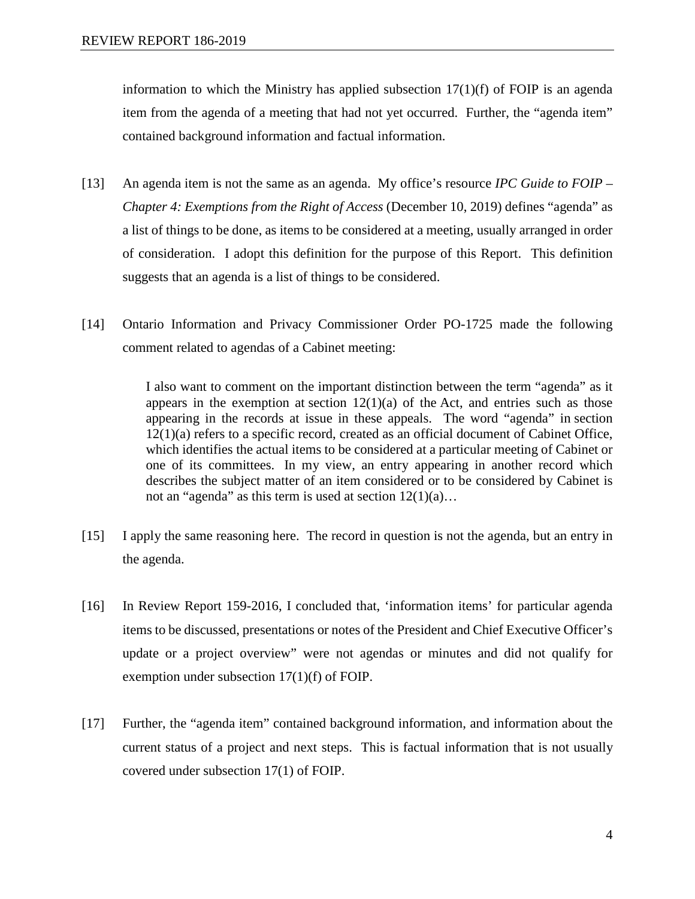information to which the Ministry has applied subsection  $17(1)(f)$  of FOIP is an agenda item from the agenda of a meeting that had not yet occurred. Further, the "agenda item" contained background information and factual information.

- [13] An agenda item is not the same as an agenda. My office's resource *IPC Guide to FOIP – Chapter 4: Exemptions from the Right of Access (December 10, 2019) defines "agenda" as* a list of things to be done, as items to be considered at a meeting, usually arranged in order of consideration. I adopt this definition for the purpose of this Report. This definition suggests that an agenda is a list of things to be considered.
- [14] Ontario Information and Privacy Commissioner Order PO-1725 made the following comment related to agendas of a Cabinet meeting:

I also want to comment on the important distinction between the term "agenda" as it appears in the exemption at section  $12(1)(a)$  of the [Act,](https://qweri.lexum.com/onlegis/rso-1990-c-f31-en) and entries such as those appearing in the records at issue in these appeals. The word "agenda" in section 12(1)(a) refers to a specific record, created as an official document of Cabinet Office, which identifies the actual items to be considered at a particular meeting of Cabinet or one of its committees. In my view, an entry appearing in another record which describes the subject matter of an item considered or to be considered by Cabinet is not an "agenda" as this term is used at section  $12(1)(a)$ ...

- [15] I apply the same reasoning here. The record in question is not the agenda, but an entry in the agenda.
- [16] In Review Report 159-2016, I concluded that, 'information items' for particular agenda items to be discussed, presentations or notes of the President and Chief Executive Officer's update or a project overview" were not agendas or minutes and did not qualify for exemption under subsection 17(1)(f) of FOIP.
- [17] Further, the "agenda item" contained background information, and information about the current status of a project and next steps. This is factual information that is not usually covered under subsection 17(1) of FOIP.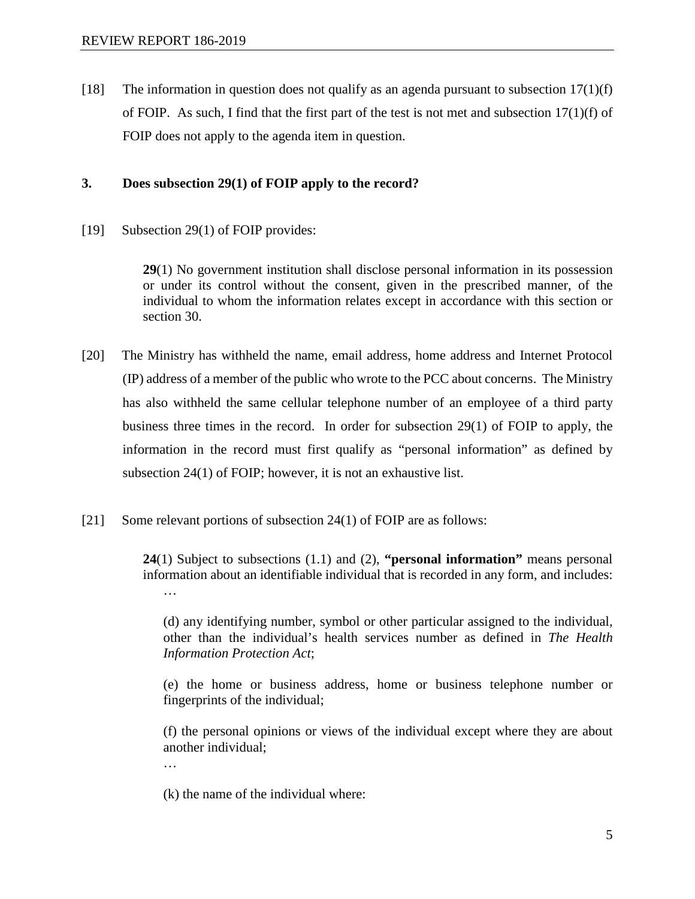[18] The information in question does not qualify as an agenda pursuant to subsection  $17(1)(f)$ of FOIP. As such, I find that the first part of the test is not met and subsection  $17(1)(f)$  of FOIP does not apply to the agenda item in question.

### **3. Does subsection 29(1) of FOIP apply to the record?**

[19] Subsection 29(1) of FOIP provides:

**29**(1) No government institution shall disclose personal information in its possession or under its control without the consent, given in the prescribed manner, of the individual to whom the information relates except in accordance with this section or section 30.

- [20] The Ministry has withheld the name, email address, home address and Internet Protocol (IP) address of a member of the public who wrote to the PCC about concerns. The Ministry has also withheld the same cellular telephone number of an employee of a third party business three times in the record. In order for subsection 29(1) of FOIP to apply, the information in the record must first qualify as "personal information" as defined by subsection 24(1) of FOIP; however, it is not an exhaustive list.
- [21] Some relevant portions of subsection 24(1) of FOIP are as follows:

**24**(1) Subject to subsections (1.1) and (2), **"personal information"** means personal information about an identifiable individual that is recorded in any form, and includes: …

(d) any identifying number, symbol or other particular assigned to the individual, other than the individual's health services number as defined in *The Health Information Protection Act*;

(e) the home or business address, home or business telephone number or fingerprints of the individual;

(f) the personal opinions or views of the individual except where they are about another individual;

(k) the name of the individual where:

…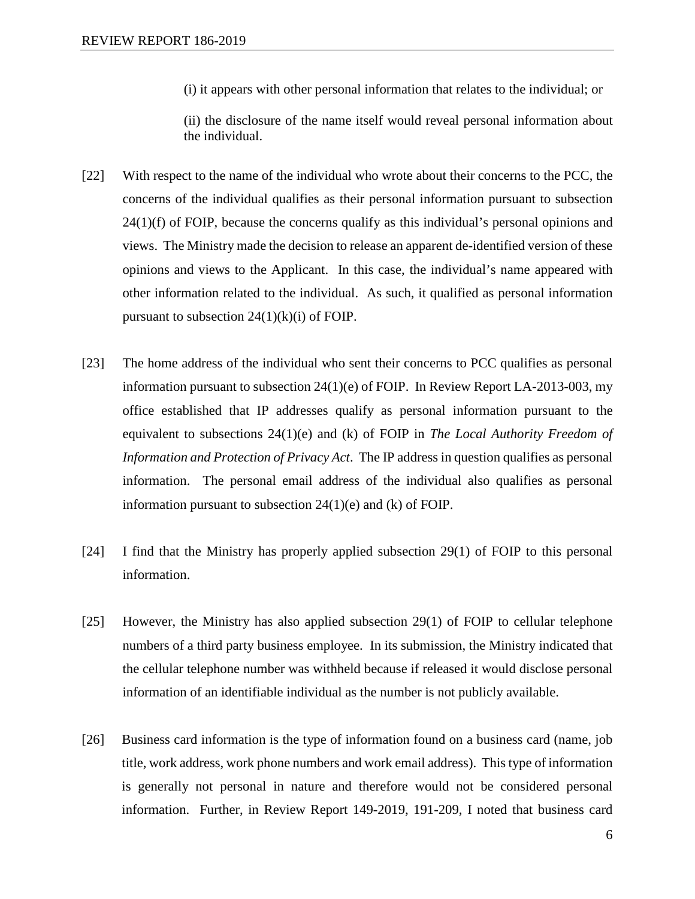(i) it appears with other personal information that relates to the individual; or

(ii) the disclosure of the name itself would reveal personal information about the individual.

- [22] With respect to the name of the individual who wrote about their concerns to the PCC, the concerns of the individual qualifies as their personal information pursuant to subsection  $24(1)(f)$  of FOIP, because the concerns qualify as this individual's personal opinions and views. The Ministry made the decision to release an apparent de-identified version of these opinions and views to the Applicant. In this case, the individual's name appeared with other information related to the individual. As such, it qualified as personal information pursuant to subsection  $24(1)(k)(i)$  of FOIP.
- [23] The home address of the individual who sent their concerns to PCC qualifies as personal information pursuant to subsection 24(1)(e) of FOIP. In Review Report LA-2013-003, my office established that IP addresses qualify as personal information pursuant to the equivalent to subsections 24(1)(e) and (k) of FOIP in *The Local Authority Freedom of Information and Protection of Privacy Act*. The IP address in question qualifies as personal information. The personal email address of the individual also qualifies as personal information pursuant to subsection 24(1)(e) and (k) of FOIP.
- [24] I find that the Ministry has properly applied subsection 29(1) of FOIP to this personal information.
- [25] However, the Ministry has also applied subsection 29(1) of FOIP to cellular telephone numbers of a third party business employee. In its submission, the Ministry indicated that the cellular telephone number was withheld because if released it would disclose personal information of an identifiable individual as the number is not publicly available.
- [26] Business card information is the type of information found on a business card (name, job title, work address, work phone numbers and work email address). This type of information is generally not personal in nature and therefore would not be considered personal information. Further, in Review Report 149-2019, 191-209, I noted that business card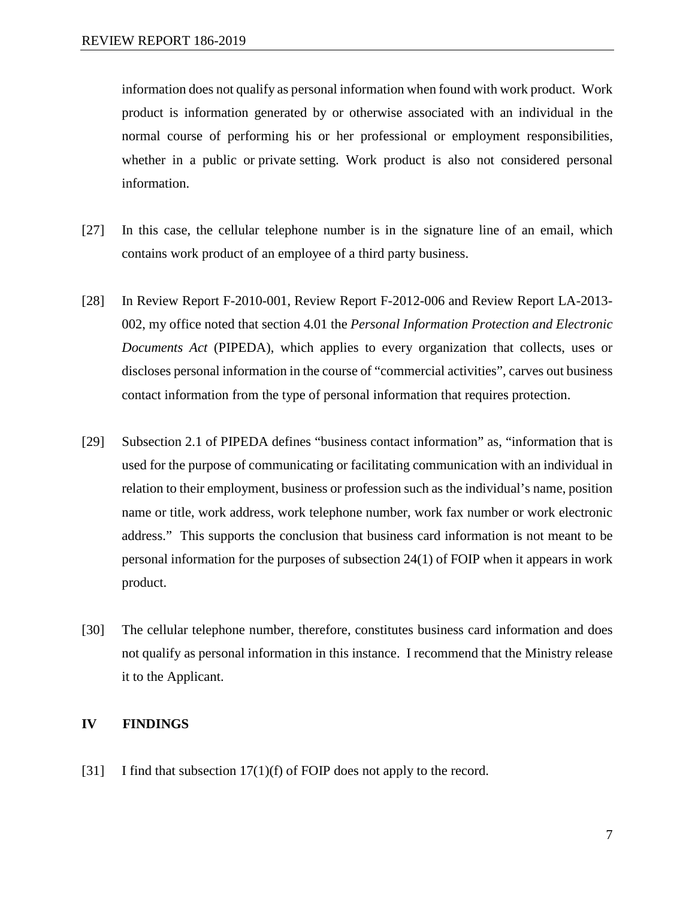information does not qualify as personal information when found with work product. Work product is information generated by or otherwise associated with an individual in the normal course of performing his or her professional or employment responsibilities, whether in a public or private setting. Work product is also not considered personal information.

- [27] In this case, the cellular telephone number is in the signature line of an email, which contains work product of an employee of a third party business.
- [28] In Review Report F-2010-001, Review Report F-2012-006 and Review Report LA-2013- 002, my office noted that section 4.01 the *Personal Information Protection and Electronic Documents Act* (PIPEDA), which applies to every organization that collects, uses or discloses personal information in the course of "commercial activities", carves out business contact information from the type of personal information that requires protection.
- [29] Subsection 2.1 of PIPEDA defines "business contact information" as, "information that is used for the purpose of communicating or facilitating communication with an individual in relation to their employment, business or profession such as the individual's name, position name or title, work address, work telephone number, work fax number or work electronic address." This supports the conclusion that business card information is not meant to be personal information for the purposes of subsection 24(1) of FOIP when it appears in work product.
- [30] The cellular telephone number, therefore, constitutes business card information and does not qualify as personal information in this instance. I recommend that the Ministry release it to the Applicant.

### **IV FINDINGS**

[31] I find that subsection 17(1)(f) of FOIP does not apply to the record.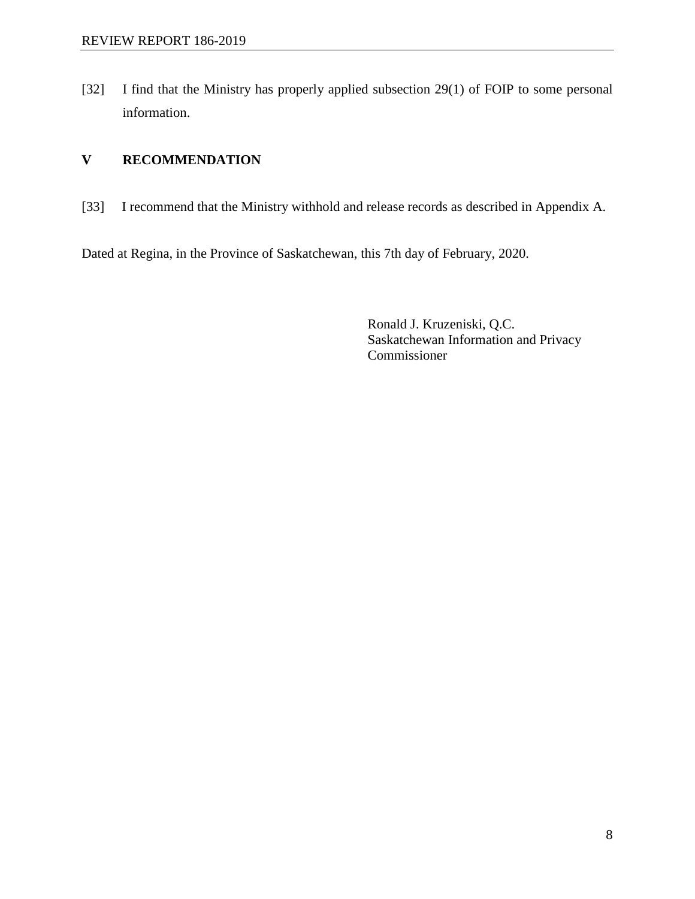[32] I find that the Ministry has properly applied subsection 29(1) of FOIP to some personal information.

# **V RECOMMENDATION**

[33] I recommend that the Ministry withhold and release records as described in Appendix A.

Dated at Regina, in the Province of Saskatchewan, this 7th day of February, 2020.

Ronald J. Kruzeniski, Q.C. Saskatchewan Information and Privacy Commissioner